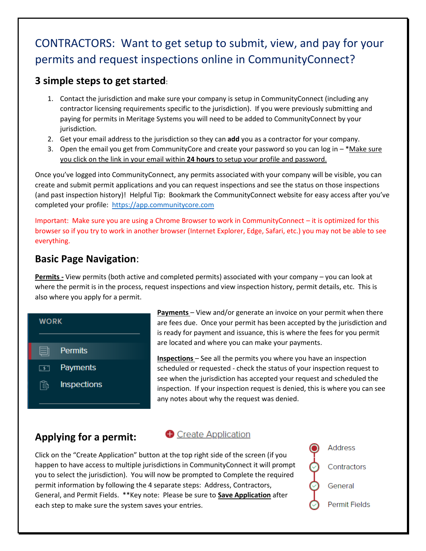# CONTRACTORS: Want to get setup to submit, view, and pay for your permits and request inspections online in CommunityConnect?

#### **3 simple steps to get started**:

- 1. Contact the jurisdiction and make sure your company is setup in CommunityConnect (including any contractor licensing requirements specific to the jurisdiction). If you were previously submitting and paying for permits in Meritage Systems you will need to be added to CommunityConnect by your jurisdiction.
- 2. Get your email address to the jurisdiction so they can **add** you as a contractor for your company.
- 3. Open the email you get from CommunityCore and create your password so you can log in \*Make sure you click on the link in your email within **24 hours** to setup your profile and password.

Once you've logged into CommunityConnect, any permits associated with your company will be visible, you can create and submit permit applications and you can request inspections and see the status on those inspections (and past inspection history)! Helpful Tip: Bookmark the CommunityConnect website for easy access after you've completed your profile: [https://app.communitycore.com](https://app.communitycore.com/)

Important: Make sure you are using a Chrome Browser to work in CommunityConnect – it is optimized for this browser so if you try to work in another browser (Internet Explorer, Edge, Safari, etc.) you may not be able to see everything.

### **Basic Page Navigation**:

**Permits -** View permits (both active and completed permits) associated with your company – you can look at where the permit is in the process, request inspections and view inspection history, permit details, etc. This is also where you apply for a permit.



**Payments** – View and/or generate an invoice on your permit when there are fees due. Once your permit has been accepted by the jurisdiction and is ready for payment and issuance, this is where the fees for you permit are located and where you can make your payments.

**Inspections** – See all the permits you where you have an inspection scheduled or requested - check the status of your inspection request to see when the jurisdiction has accepted your request and scheduled the inspection. If your inspection request is denied, this is where you can see any notes about why the request was denied.

## **Applying for a permit:**

#### **Create Application**

Click on the "Create Application" button at the top right side of the screen (if you happen to have access to multiple jurisdictions in CommunityConnect it will prompt you to select the jurisdiction). You will now be prompted to Complete the required permit information by following the 4 separate steps: Address, Contractors, General, and Permit Fields. \*\*Key note: Please be sure to **Save Application** after each step to make sure the system saves your entries.

**Address** Contractors General **Permit Fields**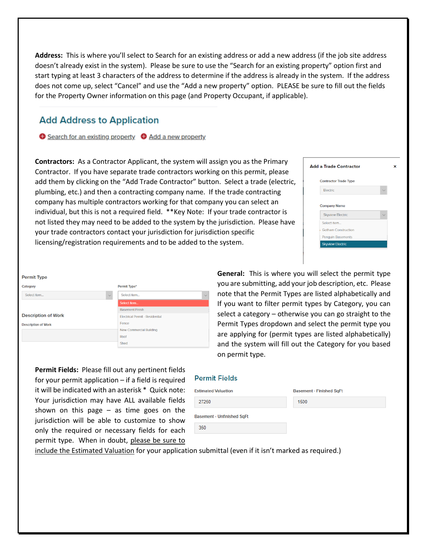**Address:** This is where you'll select to Search for an existing address or add a new address (if the job site address doesn't already exist in the system). Please be sure to use the "Search for an existing property" option first and start typing at least 3 characters of the address to determine if the address is already in the system. If the address does not come up, select "Cancel" and use the "Add a new property" option. PLEASE be sure to fill out the fields for the Property Owner information on this page (and Property Occupant, if applicable).

#### **Add Address to Application**

Search for an existing property C Add a new property

**Contractors:** As a Contractor Applicant, the system will assign you as the Primary Contractor. If you have separate trade contractors working on this permit, please add them by clicking on the "Add Trade Contractor" button. Select a trade (electric, plumbing, etc.) and then a contracting company name. If the trade contracting company has multiple contractors working for that company you can select an individual, but this is not a required field. \*\*Key Note: If your trade contractor is not listed they may need to be added to the system by the jurisdiction. Please have your trade contractors contact your jurisdiction for jurisdiction specific licensing/registration requirements and to be added to the system.

| <b>Add a Trade Contractor</b> | × |
|-------------------------------|---|
| <b>Contractor Trade Type</b>  |   |
| Electric                      |   |
|                               |   |
| <b>Company Name</b>           |   |
| <b>Skyview Electric</b>       |   |
| Select item                   |   |
| Gotham Construction           |   |
| Penguin Basements             |   |
| <b>Skyview Electric</b>       |   |
|                               |   |

| <b>Permit Type</b>         |              |                                        |              |
|----------------------------|--------------|----------------------------------------|--------------|
| Category                   |              | Permit Type*                           |              |
| Select Item                | $\checkmark$ | Select Item                            | $\checkmark$ |
|                            |              | Select Item                            |              |
|                            |              | <b>Basement Finish</b>                 |              |
| <b>Description of Work</b> |              | <b>Electrical Permit - Residential</b> |              |
| <b>Description of Work</b> |              | Fence                                  |              |
|                            |              | New Commercial Building                |              |
|                            |              | Roof                                   |              |
|                            |              | Shed                                   |              |

**General:** This is where you will select the permit type you are submitting, add your job description, etc. Please note that the Permit Types are listed alphabetically and If you want to filter permit types by Category, you can select a category – otherwise you can go straight to the Permit Types dropdown and select the permit type you are applying for (permit types are listed alphabetically) and the system will fill out the Category for you based on permit type.

**Permit Fields:** Please fill out any pertinent fields for your permit application – if a field is required it will be indicated with an asterisk \* Quick note: Your jurisdiction may have ALL available fields shown on this page  $-$  as time goes on the jurisdiction will be able to customize to show only the required or necessary fields for each permit type. When in doubt, please be sure to

#### **Permit Fields**

| <b>Stimated Valuation</b>  | <b>Basement - Finished SqFt</b> |  |
|----------------------------|---------------------------------|--|
| 27250                      | 1500                            |  |
| Basement - Unfinished SqFt |                                 |  |
| 350                        |                                 |  |

include the Estimated Valuation for your application submittal (even if it isn't marked as required.)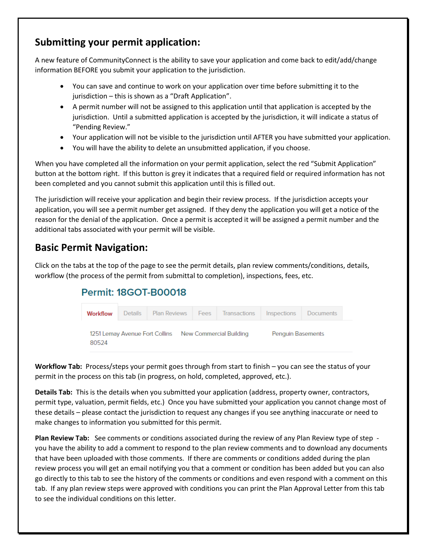### **Submitting your permit application:**

A new feature of CommunityConnect is the ability to save your application and come back to edit/add/change information BEFORE you submit your application to the jurisdiction.

- You can save and continue to work on your application over time before submitting it to the jurisdiction – this is shown as a "Draft Application".
- A permit number will not be assigned to this application until that application is accepted by the jurisdiction. Until a submitted application is accepted by the jurisdiction, it will indicate a status of "Pending Review."
- Your application will not be visible to the jurisdiction until AFTER you have submitted your application.
- You will have the ability to delete an unsubmitted application, if you choose.

When you have completed all the information on your permit application, select the red "Submit Application" button at the bottom right. If this button is grey it indicates that a required field or required information has not been completed and you cannot submit this application until this is filled out.

The jurisdiction will receive your application and begin their review process. If the jurisdiction accepts your application, you will see a permit number get assigned. If they deny the application you will get a notice of the reason for the denial of the application. Once a permit is accepted it will be assigned a permit number and the additional tabs associated with your permit will be visible.

### **Basic Permit Navigation:**

Click on the tabs at the top of the page to see the permit details, plan review comments/conditions, details, workflow (the process of the permit from submittal to completion), inspections, fees, etc.

### **Permit: 18GOT-B00018**



**Workflow Tab:** Process/steps your permit goes through from start to finish – you can see the status of your permit in the process on this tab (in progress, on hold, completed, approved, etc.).

**Details Tab:** This is the details when you submitted your application (address, property owner, contractors, permit type, valuation, permit fields, etc.) Once you have submitted your application you cannot change most of these details – please contact the jurisdiction to request any changes if you see anything inaccurate or need to make changes to information you submitted for this permit.

**Plan Review Tab:** See comments or conditions associated during the review of any Plan Review type of step you have the ability to add a comment to respond to the plan review comments and to download any documents that have been uploaded with those comments. If there are comments or conditions added during the plan review process you will get an email notifying you that a comment or condition has been added but you can also go directly to this tab to see the history of the comments or conditions and even respond with a comment on this tab. If any plan review steps were approved with conditions you can print the Plan Approval Letter from this tab to see the individual conditions on this letter.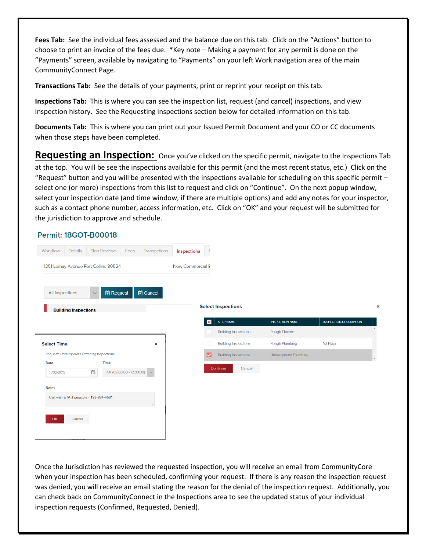**Fees Tab:** See the individual fees assessed and the balance due on this tab. Click on the "Actions" button to choose to print an invoice of the fees due. \*Key note – Making a payment for any permit is done on the "Payments" screen, available by navigating to "Payments" on your left Work navigation area of the main CommunityConnect Page.

**Transactions Tab:** See the details of your payments, print or reprint your receipt on this tab.

**Inspections Tab:** This is where you can see the inspection list, request (and cancel) inspections, and view inspection history. See the Requesting inspections section below for detailed information on this tab.

**Documents Tab:** This is where you can print out your Issued Permit Document and your CO or CC documents when those steps have been completed.

**Requesting an Inspection:** Once you've clicked on the specific permit, navigate to the Inspections Tab at the top. You will be see the inspections available for this permit (and the most recent status, etc.) Click on the "Request" button and you will be presented with the inspections available for scheduling on this specific permit – select one (or more) inspections from this list to request and click on "Continue". On the next popup window, select your inspection date (and time window, if there are multiple options) and add any notes for your inspector, such as a contact phone number, access information, etc. Click on "OK" and your request will be submitted for the jurisdiction to approve and schedule.

#### **Permit: 18GOT-B00018**



Once the Jurisdiction has reviewed the requested inspection, you will receive an email from CommunityCore when your inspection has been scheduled, confirming your request. If there is any reason the inspection request was denied, you will receive an email stating the reason for the denial of the inspection request. Additionally, you can check back on CommunityConnect in the Inspections area to see the updated status of your individual inspection requests (Confirmed, Requested, Denied).